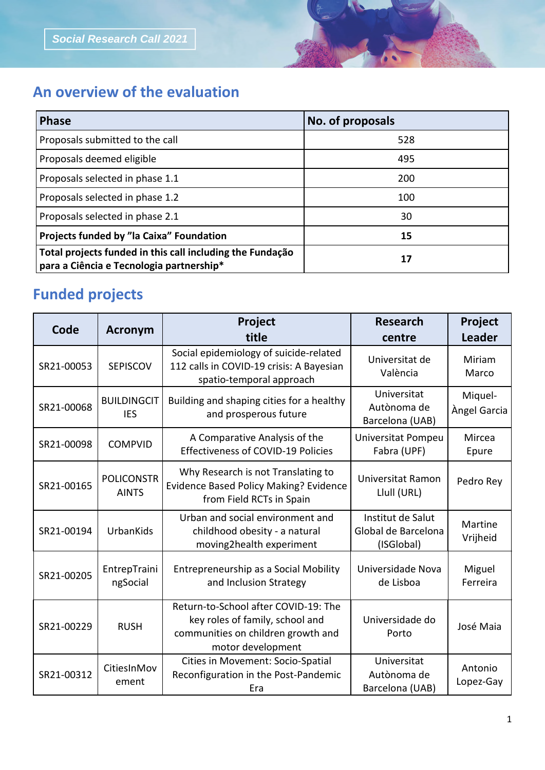## **An overview of the evaluation**

| <b>Phase</b>                                                                                          | No. of proposals |  |
|-------------------------------------------------------------------------------------------------------|------------------|--|
| Proposals submitted to the call                                                                       | 528              |  |
| Proposals deemed eligible                                                                             | 495              |  |
| Proposals selected in phase 1.1                                                                       | 200              |  |
| Proposals selected in phase 1.2                                                                       | 100              |  |
| Proposals selected in phase 2.1                                                                       | 30               |  |
| Projects funded by "la Caixa" Foundation                                                              | 15               |  |
| Total projects funded in this call including the Fundação<br>para a Ciência e Tecnologia partnership* | 17               |  |

## **Funded projects**

| Code       | <b>Acronym</b>                    | Project<br>title                                                                                                                   | <b>Research</b><br>centre                              | Project<br><b>Leader</b> |
|------------|-----------------------------------|------------------------------------------------------------------------------------------------------------------------------------|--------------------------------------------------------|--------------------------|
| SR21-00053 | <b>SEPISCOV</b>                   | Social epidemiology of suicide-related<br>112 calls in COVID-19 crisis: A Bayesian<br>spatio-temporal approach                     | Universitat de<br>València                             | Miriam<br>Marco          |
| SR21-00068 | <b>BUILDINGCIT</b><br><b>IES</b>  | Building and shaping cities for a healthy<br>and prosperous future                                                                 | Universitat<br>Autònoma de<br>Barcelona (UAB)          | Miquel-<br>Àngel Garcia  |
| SR21-00098 | <b>COMPVID</b>                    | A Comparative Analysis of the<br><b>Effectiveness of COVID-19 Policies</b>                                                         | <b>Universitat Pompeu</b><br>Fabra (UPF)               | Mircea<br>Epure          |
| SR21-00165 | <b>POLICONSTR</b><br><b>AINTS</b> | Why Research is not Translating to<br><b>Evidence Based Policy Making? Evidence</b><br>from Field RCTs in Spain                    | Universitat Ramon<br>Llull (URL)                       | Pedro Rey                |
| SR21-00194 | UrbanKids                         | Urban and social environment and<br>childhood obesity - a natural<br>moving2health experiment                                      | Institut de Salut<br>Global de Barcelona<br>(ISGlobal) | Martine<br>Vrijheid      |
| SR21-00205 | EntrepTraini<br>ngSocial          | Entrepreneurship as a Social Mobility<br>and Inclusion Strategy                                                                    | Universidade Nova<br>de Lisboa                         | Miguel<br>Ferreira       |
| SR21-00229 | <b>RUSH</b>                       | Return-to-School after COVID-19: The<br>key roles of family, school and<br>communities on children growth and<br>motor development | Universidade do<br>Porto                               | José Maia                |
| SR21-00312 | CitiesInMov<br>ement              | Cities in Movement: Socio-Spatial<br>Reconfiguration in the Post-Pandemic<br>Era                                                   | Universitat<br>Autònoma de<br>Barcelona (UAB)          | Antonio<br>Lopez-Gay     |